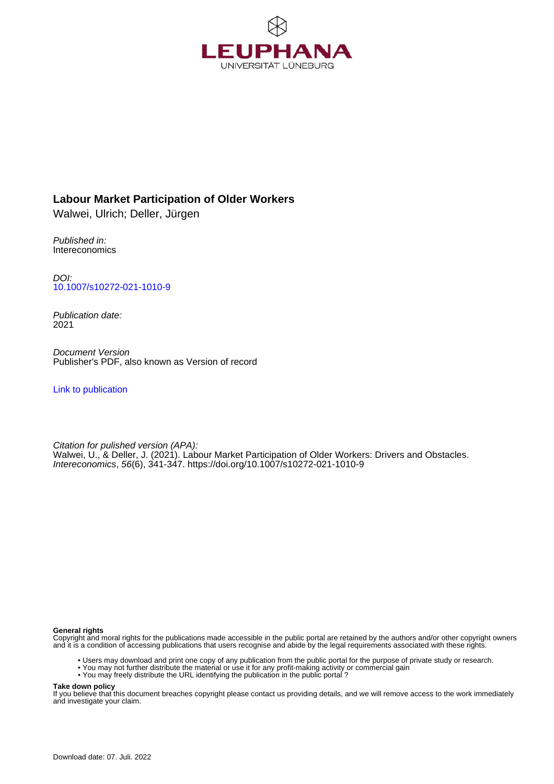

## **Labour Market Participation of Older Workers**

Walwei, Ulrich; Deller, Jürgen

Published in: Intereconomics

DOI: [10.1007/s10272-021-1010-9](https://doi.org/10.1007/s10272-021-1010-9)

Publication date: 2021

Document Version Publisher's PDF, also known as Version of record

[Link to publication](http://fox.leuphana.de/portal/en/publications/labour-market-participation-of-older-workers(70ab529d-c04c-478d-a98e-311260ba51b6).html)

Citation for pulished version (APA): Walwei, U.[, & Deller, J.](http://fox.leuphana.de/portal/de/persons/jurgen-deller(66aabbd3-c452-42a1-8ca2-cadb329065dc).html) (2021). [Labour Market Participation of Older Workers: Drivers and Obstacles](http://fox.leuphana.de/portal/de/publications/labour-market-participation-of-older-workers(70ab529d-c04c-478d-a98e-311260ba51b6).html). [Intereconomics](http://fox.leuphana.de/portal/de/journals/intereconomics(52eabb0e-ef42-4cc7-aafc-f698fc5527c1)/publications.html), 56(6), 341-347. <https://doi.org/10.1007/s10272-021-1010-9>

#### **General rights**

Copyright and moral rights for the publications made accessible in the public portal are retained by the authors and/or other copyright owners and it is a condition of accessing publications that users recognise and abide by the legal requirements associated with these rights.

- Users may download and print one copy of any publication from the public portal for the purpose of private study or research.
- You may not further distribute the material or use it for any profit-making activity or commercial gain
- You may freely distribute the URL identifying the publication in the public portal ?

**Take down policy**

If you believe that this document breaches copyright please contact us providing details, and we will remove access to the work immediately and investigate your claim.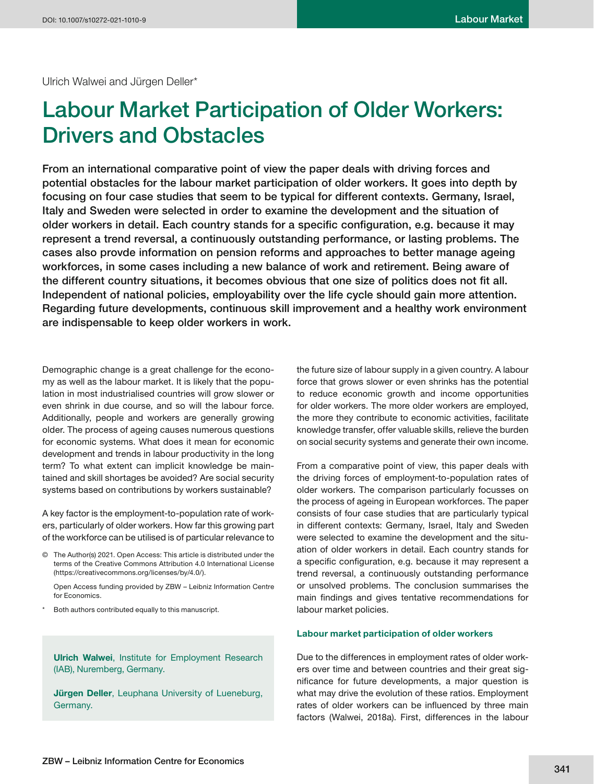Ulrich Walwei and Jürgen Deller\*

# **Labour Market Participation of Older Workers: Drivers and Obstacles**

**From an international comparative point of view the paper deals with driving forces and potential obstacles for the labour market participation of older workers. It goes into depth by focusing on four case studies that seem to be typical for different contexts. Germany, Israel, Italy and Sweden were selected in order to examine the development and the situation of**  older workers in detail. Each country stands for a specific configuration, e.g. because it may **represent a trend reversal, a continuously outstanding performance, or lasting problems. The cases also provde information on pension reforms and approaches to better manage ageing workforces, in some cases including a new balance of work and retirement. Being aware of**  the different country situations, it becomes obvious that one size of politics does not fit all. **Independent of national policies, employability over the life cycle should gain more attention. Regarding future developments, continuous skill improvement and a healthy work environment are indispensable to keep older workers in work.**

Demographic change is a great challenge for the economy as well as the labour market. It is likely that the population in most industrialised countries will grow slower or even shrink in due course, and so will the labour force. Additionally, people and workers are generally growing older. The process of ageing causes numerous questions for economic systems. What does it mean for economic development and trends in labour productivity in the long term? To what extent can implicit knowledge be maintained and skill shortages be avoided? Are social security systems based on contributions by workers sustainable?

A key factor is the employment-to-population rate of workers, particularly of older workers. How far this growing part of the workforce can be utilised is of particular relevance to

© The Author(s) 2021. Open Access: This article is distributed under the terms of the Creative Commons Attribution 4.0 International License (https://creativecommons.org/licenses/by/4.0/).

 Open Access funding provided by ZBW – Leibniz Information Centre for Economics.

Both authors contributed equally to this manuscript.

**Ulrich Walwei**, Institute for Employment Research (IAB), Nuremberg, Germany.

**Jürgen Deller**, Leuphana University of Lueneburg, Germany.

the future size of labour supply in a given country. A labour force that grows slower or even shrinks has the potential to reduce economic growth and income opportunities for older workers. The more older workers are employed, the more they contribute to economic activities, facilitate knowledge transfer, offer valuable skills, relieve the burden on social security systems and generate their own income.

From a comparative point of view, this paper deals with the driving forces of employment-to-population rates of older workers. The comparison particularly focusses on the process of ageing in European workforces. The paper consists of four case studies that are particularly typical in different contexts: Germany, Israel, Italy and Sweden were selected to examine the development and the situation of older workers in detail. Each country stands for a specific configuration, e.g. because it may represent a trend reversal, a continuously outstanding performance or unsolved problems. The conclusion summarises the main findings and gives tentative recommendations for labour market policies.

## **Labour market participation of older workers**

Due to the differences in employment rates of older workers over time and between countries and their great significance for future developments, a major question is what may drive the evolution of these ratios. Employment rates of older workers can be influenced by three main factors (Walwei, 2018a). First, differences in the labour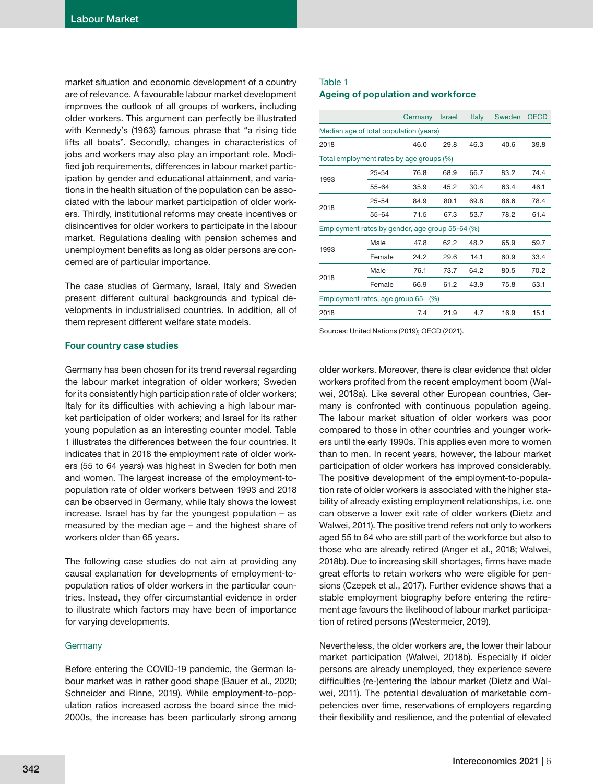market situation and economic development of a country are of relevance. A favourable labour market development improves the outlook of all groups of workers, including older workers. This argument can perfectly be illustrated with Kennedy's (1963) famous phrase that "a rising tide lifts all boats". Secondly, changes in characteristics of jobs and workers may also play an important role. Modified job requirements, differences in labour market participation by gender and educational attainment, and variations in the health situation of the population can be associated with the labour market participation of older workers. Thirdly, institutional reforms may create incentives or disincentives for older workers to participate in the labour market. Regulations dealing with pension schemes and unemployment benefits as long as older persons are concerned are of particular importance.

The case studies of Germany, Israel, Italy and Sweden present different cultural backgrounds and typical developments in industrialised countries. In addition, all of them represent different welfare state models.

## **Four country case studies**

Germany has been chosen for its trend reversal regarding the labour market integration of older workers; Sweden for its consistently high participation rate of older workers; Italy for its difficulties with achieving a high labour market participation of older workers; and Israel for its rather young population as an interesting counter model. Table 1 illustrates the differences between the four countries. It indicates that in 2018 the employment rate of older workers (55 to 64 years) was highest in Sweden for both men and women. The largest increase of the employment-topopulation rate of older workers between 1993 and 2018 can be observed in Germany, while Italy shows the lowest increase. Israel has by far the youngest population – as measured by the median age – and the highest share of workers older than 65 years.

The following case studies do not aim at providing any causal explanation for developments of employment-topopulation ratios of older workers in the particular countries. Instead, they offer circumstantial evidence in order to illustrate which factors may have been of importance for varying developments.

## **Germany**

Before entering the COVID-19 pandemic, the German labour market was in rather good shape (Bauer et al., 2020; Schneider and Rinne, 2019). While employment-to-population ratios increased across the board since the mid-2000s, the increase has been particularly strong among

## Table 1 **Ageing of population and workforce**

|                                                 | Germany | <b>Israel</b> | <b>Italy</b> | Sweden | <b>OECD</b> |
|-------------------------------------------------|---------|---------------|--------------|--------|-------------|
| Median age of total population (years)          |         |               |              |        |             |
|                                                 | 46.0    | 29.8          | 46.3         | 40.6   | 39.8        |
| Total employment rates by age groups (%)        |         |               |              |        |             |
| $25 - 54$                                       | 76.8    | 68.9          | 66.7         | 83.2   | 74.4        |
| 55-64                                           | 35.9    | 45.2          | 30.4         | 63.4   | 46.1        |
| $25 - 54$                                       | 84.9    | 80.1          | 69.8         | 86.6   | 78.4        |
| 55-64                                           | 71.5    | 67.3          | 53.7         | 78.2   | 61.4        |
| Employment rates by gender, age group 55-64 (%) |         |               |              |        |             |
| Male                                            | 47.8    | 62.2          | 48.2         | 65.9   | 59.7        |
| Female                                          | 24.2    | 29.6          | 14.1         | 60.9   | 33.4        |
| Male                                            | 76.1    | 73.7          | 64.2         | 80.5   | 70.2        |
| Female                                          | 66.9    | 61.2          | 43.9         | 75.8   | 53.1        |
| Employment rates, age group 65+ (%)             |         |               |              |        |             |
|                                                 | 7.4     | 21.9          | 4.7          | 16.9   | 15.1        |
|                                                 |         |               |              |        |             |

Sources: United Nations (2019); OECD (2021).

older workers. Moreover, there is clear evidence that older workers profited from the recent employment boom (Walwei, 2018a). Like several other European countries, Germany is confronted with continuous population ageing. The labour market situation of older workers was poor compared to those in other countries and younger workers until the early 1990s. This applies even more to women than to men. In recent years, however, the labour market participation of older workers has improved considerably. The positive development of the employment-to-population rate of older workers is associated with the higher stability of already existing employment relationships, i.e. one can observe a lower exit rate of older workers (Dietz and Walwei, 2011). The positive trend refers not only to workers aged 55 to 64 who are still part of the workforce but also to those who are already retired (Anger et al., 2018; Walwei, 2018b). Due to increasing skill shortages, firms have made great efforts to retain workers who were eligible for pensions (Czepek et al., 2017). Further evidence shows that a stable employment biography before entering the retirement age favours the likelihood of labour market participation of retired persons (Westermeier, 2019).

Nevertheless, the older workers are, the lower their labour market participation (Walwei, 2018b). Especially if older persons are already unemployed, they experience severe difficulties (re-)entering the labour market (Dietz and Walwei, 2011). The potential devaluation of marketable competencies over time, reservations of employers regarding their flexibility and resilience, and the potential of elevated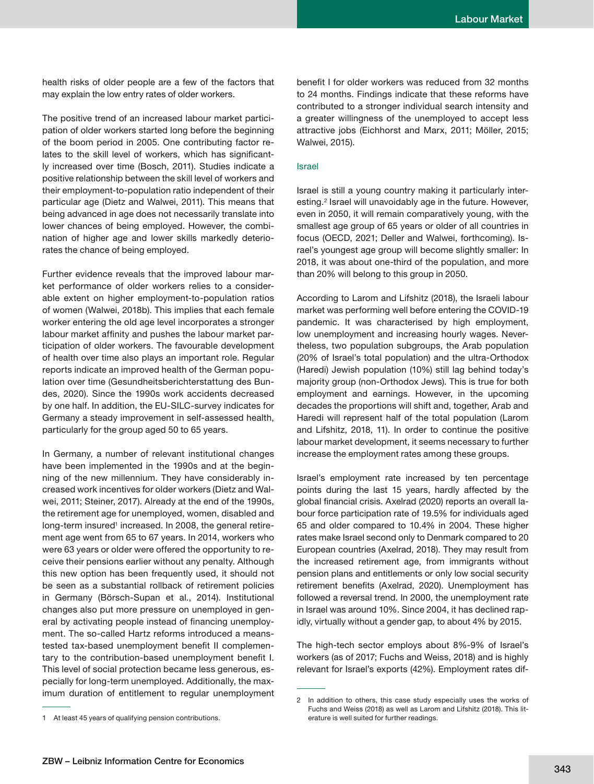health risks of older people are a few of the factors that may explain the low entry rates of older workers.

The positive trend of an increased labour market participation of older workers started long before the beginning of the boom period in 2005. One contributing factor relates to the skill level of workers, which has significantly increased over time (Bosch, 2011). Studies indicate a positive relationship between the skill level of workers and their employment-to-population ratio independent of their particular age (Dietz and Walwei, 2011). This means that being advanced in age does not necessarily translate into lower chances of being employed. However, the combination of higher age and lower skills markedly deteriorates the chance of being employed.

Further evidence reveals that the improved labour market performance of older workers relies to a considerable extent on higher employment-to-population ratios of women (Walwei, 2018b). This implies that each female worker entering the old age level incorporates a stronger labour market affinity and pushes the labour market participation of older workers. The favourable development of health over time also plays an important role. Regular reports indicate an improved health of the German population over time (Gesundheitsberichterstattung des Bundes, 2020). Since the 1990s work accidents decreased by one half. In addition, the EU-SILC-survey indicates for Germany a steady improvement in self-assessed health, particularly for the group aged 50 to 65 years.

In Germany, a number of relevant institutional changes have been implemented in the 1990s and at the beginning of the new millennium. They have considerably increased work incentives for older workers (Dietz and Walwei, 2011; Steiner, 2017). Already at the end of the 1990s, the retirement age for unemployed, women, disabled and long-term insured<sup>1</sup> increased. In 2008, the general retirement age went from 65 to 67 years. In 2014, workers who were 63 years or older were offered the opportunity to receive their pensions earlier without any penalty. Although this new option has been frequently used, it should not be seen as a substantial rollback of retirement policies in Germany (Börsch-Supan et al., 2014). Institutional changes also put more pressure on unemployed in general by activating people instead of financing unemployment. The so-called Hartz reforms introduced a meanstested tax-based unemployment benefit II complementary to the contribution-based unemployment benefit I. This level of social protection became less generous, especially for long-term unemployed. Additionally, the maximum duration of entitlement to regular unemployment

benefit I for older workers was reduced from 32 months to 24 months. Findings indicate that these reforms have contributed to a stronger individual search intensity and a greater willingness of the unemployed to accept less attractive jobs (Eichhorst and Marx, 2011; Möller, 2015; Walwei, 2015).

## Israel

Israel is still a young country making it particularly interesting.<sup>2</sup> Israel will unavoidably age in the future. However, even in 2050, it will remain comparatively young, with the smallest age group of 65 years or older of all countries in focus (OECD, 2021; Deller and Walwei, forthcoming). Israel's youngest age group will become slightly smaller: In 2018, it was about one-third of the population, and more than 20% will belong to this group in 2050.

According to Larom and Lifshitz (2018), the Israeli labour market was performing well before entering the COVID-19 pandemic. It was characterised by high employment, low unemployment and increasing hourly wages. Nevertheless, two population subgroups, the Arab population (20% of Israel's total population) and the ultra-Orthodox (Haredi) Jewish population (10%) still lag behind today's majority group (non-Orthodox Jews). This is true for both employment and earnings. However, in the upcoming decades the proportions will shift and, together, Arab and Haredi will represent half of the total population (Larom and Lifshitz, 2018, 11). In order to continue the positive labour market development, it seems necessary to further increase the employment rates among these groups.

Israel's employment rate increased by ten percentage points during the last 15 years, hardly affected by the global financial crisis. Axelrad (2020) reports an overall labour force participation rate of 19.5% for individuals aged 65 and older compared to 10.4% in 2004. These higher rates make Israel second only to Denmark compared to 20 European countries (Axelrad, 2018). They may result from the increased retirement age, from immigrants without pension plans and entitlements or only low social security retirement benefits (Axelrad, 2020). Unemployment has followed a reversal trend. In 2000, the unemployment rate in Israel was around 10%. Since 2004, it has declined rapidly, virtually without a gender gap, to about 4% by 2015.

The high-tech sector employs about 8%-9% of Israel's workers (as of 2017; Fuchs and Weiss, 2018) and is highly relevant for Israel's exports (42%). Employment rates dif-

In addition to others, this case study especially uses the works of

<sup>1</sup> At least 45 years of qualifying pension contributions. Fuchs and Weiss (2018) as well as Larom and Lifshitz (2018). This literature is well suited for further readings.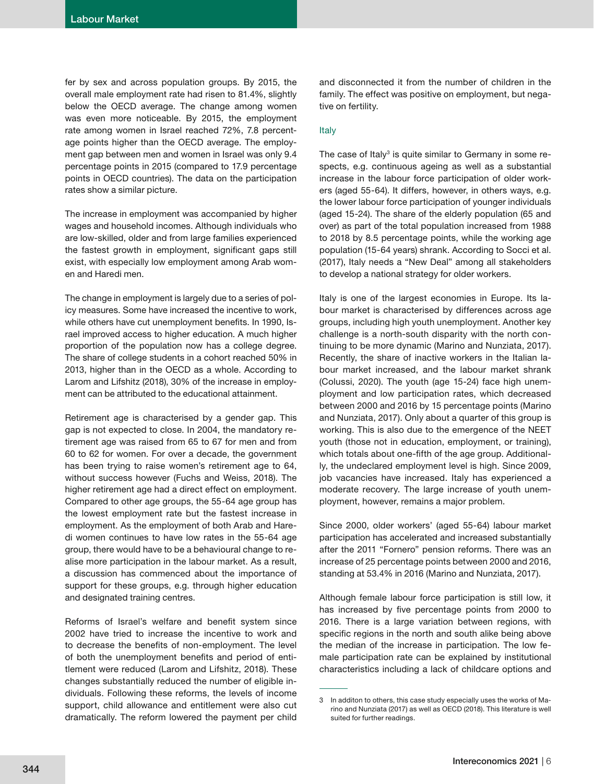fer by sex and across population groups. By 2015, the overall male employment rate had risen to 81.4%, slightly below the OECD average. The change among women was even more noticeable. By 2015, the employment rate among women in Israel reached 72%, 7.8 percentage points higher than the OECD average. The employment gap between men and women in Israel was only 9.4 percentage points in 2015 (compared to 17.9 percentage points in OECD countries). The data on the participation rates show a similar picture.

The increase in employment was accompanied by higher wages and household incomes. Although individuals who are low-skilled, older and from large families experienced the fastest growth in employment, significant gaps still exist, with especially low employment among Arab women and Haredi men.

The change in employment is largely due to a series of policy measures. Some have increased the incentive to work, while others have cut unemployment benefits. In 1990, Israel improved access to higher education. A much higher proportion of the population now has a college degree. The share of college students in a cohort reached 50% in 2013, higher than in the OECD as a whole. According to Larom and Lifshitz (2018), 30% of the increase in employment can be attributed to the educational attainment.

Retirement age is characterised by a gender gap. This gap is not expected to close. In 2004, the mandatory retirement age was raised from 65 to 67 for men and from 60 to 62 for women. For over a decade, the government has been trying to raise women's retirement age to 64, without success however (Fuchs and Weiss, 2018). The higher retirement age had a direct effect on employment. Compared to other age groups, the 55-64 age group has the lowest employment rate but the fastest increase in employment. As the employment of both Arab and Haredi women continues to have low rates in the 55-64 age group, there would have to be a behavioural change to realise more participation in the labour market. As a result, a discussion has commenced about the importance of support for these groups, e.g. through higher education and designated training centres.

Reforms of Israel's welfare and benefit system since 2002 have tried to increase the incentive to work and to decrease the benefits of non-employment. The level of both the unemployment benefits and period of entitlement were reduced (Larom and Lifshitz, 2018). These changes substantially reduced the number of eligible individuals. Following these reforms, the levels of income support, child allowance and entitlement were also cut dramatically. The reform lowered the payment per child

and disconnected it from the number of children in the family. The effect was positive on employment, but negative on fertility.

## Italy

The case of Italy<sup>3</sup> is quite similar to Germany in some respects, e.g. continuous ageing as well as a substantial increase in the labour force participation of older workers (aged 55-64). It differs, however, in others ways, e.g. the lower labour force participation of younger individuals (aged 15-24). The share of the elderly population (65 and over) as part of the total population increased from 1988 to 2018 by 8.5 percentage points, while the working age population (15-64 years) shrank. According to Socci et al. (2017), Italy needs a "New Deal" among all stakeholders to develop a national strategy for older workers.

Italy is one of the largest economies in Europe. Its labour market is characterised by differences across age groups, including high youth unemployment. Another key challenge is a north-south disparity with the north continuing to be more dynamic (Marino and Nunziata, 2017). Recently, the share of inactive workers in the Italian labour market increased, and the labour market shrank (Colussi, 2020). The youth (age 15-24) face high unemployment and low participation rates, which decreased between 2000 and 2016 by 15 percentage points (Marino and Nunziata, 2017). Only about a quarter of this group is working. This is also due to the emergence of the NEET youth (those not in education, employment, or training), which totals about one-fifth of the age group. Additionally, the undeclared employment level is high. Since 2009, job vacancies have increased. Italy has experienced a moderate recovery. The large increase of youth unemployment, however, remains a major problem.

Since 2000, older workers' (aged 55-64) labour market participation has accelerated and increased substantially after the 2011 "Fornero" pension reforms. There was an increase of 25 percentage points between 2000 and 2016, standing at 53.4% in 2016 (Marino and Nunziata, 2017).

Although female labour force participation is still low, it has increased by five percentage points from 2000 to 2016. There is a large variation between regions, with specific regions in the north and south alike being above the median of the increase in participation. The low female participation rate can be explained by institutional characteristics including a lack of childcare options and

<sup>3</sup> In additon to others, this case study especially uses the works of Marino and Nunziata (2017) as well as OECD (2018). This literature is well suited for further readings.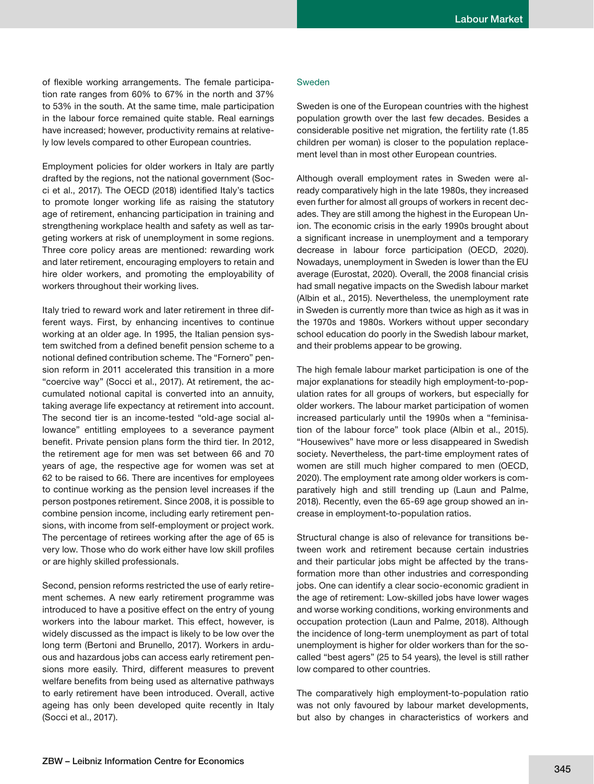of flexible working arrangements. The female participation rate ranges from 60% to 67% in the north and 37% to 53% in the south. At the same time, male participation in the labour force remained quite stable. Real earnings have increased; however, productivity remains at relatively low levels compared to other European countries.

Employment policies for older workers in Italy are partly drafted by the regions, not the national government (Socci et al., 2017). The OECD (2018) identified Italy's tactics to promote longer working life as raising the statutory age of retirement, enhancing participation in training and strengthening workplace health and safety as well as targeting workers at risk of unemployment in some regions. Three core policy areas are mentioned: rewarding work and later retirement, encouraging employers to retain and hire older workers, and promoting the employability of workers throughout their working lives.

Italy tried to reward work and later retirement in three different ways. First, by enhancing incentives to continue working at an older age. In 1995, the Italian pension system switched from a defined benefit pension scheme to a notional defined contribution scheme. The "Fornero" pension reform in 2011 accelerated this transition in a more "coercive way" (Socci et al., 2017). At retirement, the accumulated notional capital is converted into an annuity, taking average life expectancy at retirement into account. The second tier is an income-tested "old-age social allowance" entitling employees to a severance payment benefit. Private pension plans form the third tier. In 2012, the retirement age for men was set between 66 and 70 years of age, the respective age for women was set at 62 to be raised to 66. There are incentives for employees to continue working as the pension level increases if the person postpones retirement. Since 2008, it is possible to combine pension income, including early retirement pensions, with income from self-employment or project work. The percentage of retirees working after the age of 65 is very low. Those who do work either have low skill profiles or are highly skilled professionals.

Second, pension reforms restricted the use of early retirement schemes. A new early retirement programme was introduced to have a positive effect on the entry of young workers into the labour market. This effect, however, is widely discussed as the impact is likely to be low over the long term (Bertoni and Brunello, 2017). Workers in arduous and hazardous jobs can access early retirement pensions more easily. Third, different measures to prevent welfare benefits from being used as alternative pathways to early retirement have been introduced. Overall, active ageing has only been developed quite recently in Italy (Socci et al., 2017).

## Sweden

Sweden is one of the European countries with the highest population growth over the last few decades. Besides a considerable positive net migration, the fertility rate (1.85 children per woman) is closer to the population replacement level than in most other European countries.

Although overall employment rates in Sweden were already comparatively high in the late 1980s, they increased even further for almost all groups of workers in recent decades. They are still among the highest in the European Union. The economic crisis in the early 1990s brought about a significant increase in unemployment and a temporary decrease in labour force participation (OECD, 2020). Nowadays, unemployment in Sweden is lower than the EU average (Eurostat, 2020). Overall, the 2008 financial crisis had small negative impacts on the Swedish labour market (Albin et al., 2015). Nevertheless, the unemployment rate in Sweden is currently more than twice as high as it was in the 1970s and 1980s. Workers without upper secondary school education do poorly in the Swedish labour market, and their problems appear to be growing.

The high female labour market participation is one of the major explanations for steadily high employment-to-population rates for all groups of workers, but especially for older workers. The labour market participation of women increased particularly until the 1990s when a "feminisation of the labour force" took place (Albin et al., 2015). "Housewives" have more or less disappeared in Swedish society. Nevertheless, the part-time employment rates of women are still much higher compared to men (OECD, 2020). The employment rate among older workers is comparatively high and still trending up (Laun and Palme, 2018). Recently, even the 65-69 age group showed an increase in employment-to-population ratios.

Structural change is also of relevance for transitions between work and retirement because certain industries and their particular jobs might be affected by the transformation more than other industries and corresponding jobs. One can identify a clear socio-economic gradient in the age of retirement: Low-skilled jobs have lower wages and worse working conditions, working environments and occupation protection (Laun and Palme, 2018). Although the incidence of long-term unemployment as part of total unemployment is higher for older workers than for the socalled "best agers" (25 to 54 years), the level is still rather low compared to other countries.

The comparatively high employment-to-population ratio was not only favoured by labour market developments, but also by changes in characteristics of workers and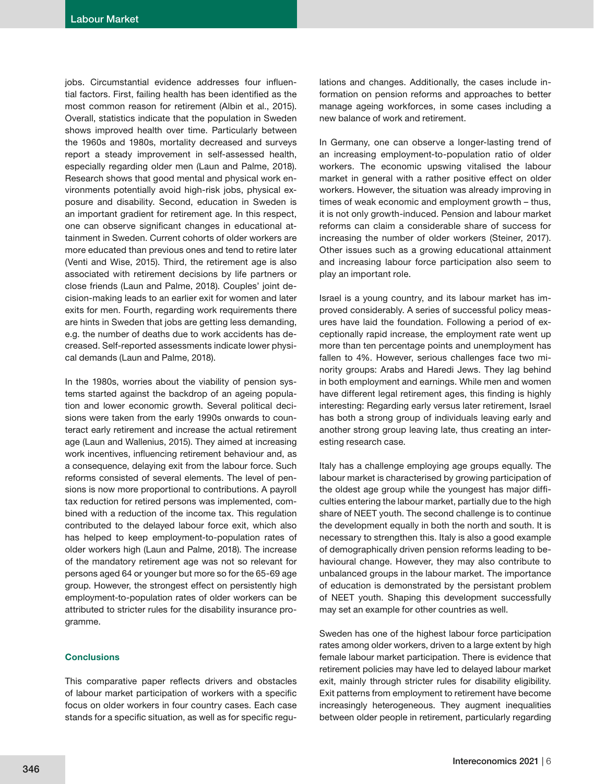jobs. Circumstantial evidence addresses four influential factors. First, failing health has been identified as the most common reason for retirement (Albin et al., 2015). Overall, statistics indicate that the population in Sweden shows improved health over time. Particularly between the 1960s and 1980s, mortality decreased and surveys report a steady improvement in self-assessed health, especially regarding older men (Laun and Palme, 2018). Research shows that good mental and physical work environments potentially avoid high-risk jobs, physical exposure and disability. Second, education in Sweden is an important gradient for retirement age. In this respect, one can observe significant changes in educational attainment in Sweden. Current cohorts of older workers are more educated than previous ones and tend to retire later (Venti and Wise, 2015). Third, the retirement age is also associated with retirement decisions by life partners or close friends (Laun and Palme, 2018). Couples' joint decision-making leads to an earlier exit for women and later exits for men. Fourth, regarding work requirements there are hints in Sweden that jobs are getting less demanding, e.g. the number of deaths due to work accidents has decreased. Self-reported assessments indicate lower physical demands (Laun and Palme, 2018).

In the 1980s, worries about the viability of pension systems started against the backdrop of an ageing population and lower economic growth. Several political decisions were taken from the early 1990s onwards to counteract early retirement and increase the actual retirement age (Laun and Wallenius, 2015). They aimed at increasing work incentives, influencing retirement behaviour and, as a consequence, delaying exit from the labour force. Such reforms consisted of several elements. The level of pensions is now more proportional to contributions. A payroll tax reduction for retired persons was implemented, combined with a reduction of the income tax. This regulation contributed to the delayed labour force exit, which also has helped to keep employment-to-population rates of older workers high (Laun and Palme, 2018). The increase of the mandatory retirement age was not so relevant for persons aged 64 or younger but more so for the 65-69 age group. However, the strongest effect on persistently high employment-to-population rates of older workers can be attributed to stricter rules for the disability insurance programme.

## **Conclusions**

This comparative paper reflects drivers and obstacles of labour market participation of workers with a specific focus on older workers in four country cases. Each case stands for a specific situation, as well as for specific regulations and changes. Additionally, the cases include information on pension reforms and approaches to better manage ageing workforces, in some cases including a new balance of work and retirement.

In Germany, one can observe a longer-lasting trend of an increasing employment-to-population ratio of older workers. The economic upswing vitalised the labour market in general with a rather positive effect on older workers. However, the situation was already improving in times of weak economic and employment growth – thus, it is not only growth-induced. Pension and labour market reforms can claim a considerable share of success for increasing the number of older workers (Steiner, 2017). Other issues such as a growing educational attainment and increasing labour force participation also seem to play an important role.

Israel is a young country, and its labour market has improved considerably. A series of successful policy measures have laid the foundation. Following a period of exceptionally rapid increase, the employment rate went up more than ten percentage points and unemployment has fallen to 4%. However, serious challenges face two minority groups: Arabs and Haredi Jews. They lag behind in both employment and earnings. While men and women have different legal retirement ages, this finding is highly interesting: Regarding early versus later retirement, Israel has both a strong group of individuals leaving early and another strong group leaving late, thus creating an interesting research case.

Italy has a challenge employing age groups equally. The labour market is characterised by growing participation of the oldest age group while the youngest has major difficulties entering the labour market, partially due to the high share of NEET youth. The second challenge is to continue the development equally in both the north and south. It is necessary to strengthen this. Italy is also a good example of demographically driven pension reforms leading to behavioural change. However, they may also contribute to unbalanced groups in the labour market. The importance of education is demonstrated by the persistant problem of NEET youth. Shaping this development successfully may set an example for other countries as well.

Sweden has one of the highest labour force participation rates among older workers, driven to a large extent by high female labour market participation. There is evidence that retirement policies may have led to delayed labour market exit, mainly through stricter rules for disability eligibility. Exit patterns from employment to retirement have become increasingly heterogeneous. They augment inequalities between older people in retirement, particularly regarding